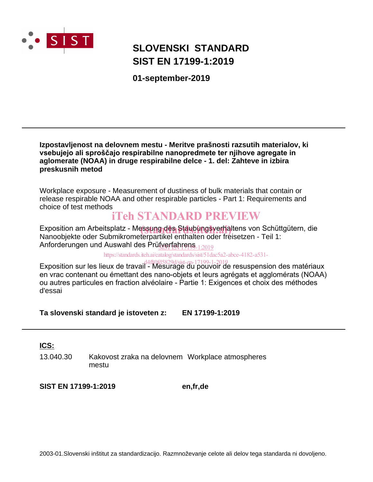

# **SLOVENSKI STANDARD SIST EN 17199-1:2019**

**01-september-2019**

**Izpostavljenost na delovnem mestu - Meritve prašnosti razsutih materialov, ki vsebujejo ali sproščajo respirabilne nanopredmete ter njihove agregate in aglomerate (NOAA) in druge respirabilne delce - 1. del: Zahteve in izbira preskusnih metod**

Workplace exposure - Measurement of dustiness of bulk materials that contain or release respirable NOAA and other respirable particles - Part 1: Requirements and choice of test methods

# iTeh STANDARD PREVIEW

Exposition am Arbeitsplatz - Messung des Staubungsverhaltens von Schüttgütern, die<br>Naposhiekte eder Submikremeternartikel enthalten eder freisetzen. Teil 1: Nanoobjekte oder Submikrometerpartikel enthalten oder freisetzen - Teil 1: Anforderungen und Auswahl des Prü<u>fγerfahrens <sub>1:2019</sub></u>

https://standards.iteh.ai/catalog/standards/sist/51dac5a2-abce-4182-a531-

Exposition sur les lieux de travail - Mesurage du pouvoir de resuspension des matériaux d4f80fd5829d/sist-en-17199-1-2019en vrac contenant ou émettant des nano-objets et leurs agrégats et agglomérats (NOAA) ou autres particules en fraction alvéolaire - Partie 1: Exigences et choix des méthodes d'essai

**Ta slovenski standard je istoveten z: EN 17199-1:2019**

# **ICS:**

13.040.30 Kakovost zraka na delovnem Workplace atmospheres mestu

**SIST EN 17199-1:2019 en,fr,de**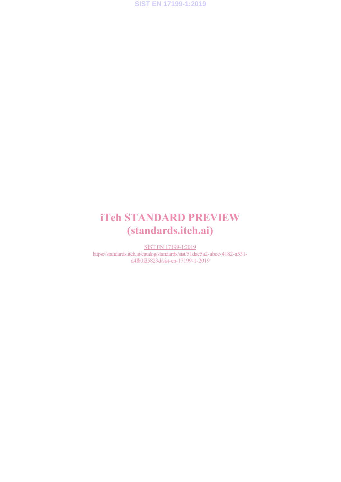

# iTeh STANDARD PREVIEW (standards.iteh.ai)

SIST EN 17199-1:2019 https://standards.iteh.ai/catalog/standards/sist/51dac5a2-abce-4182-a531 d4f80fd5829d/sist-en-17199-1-2019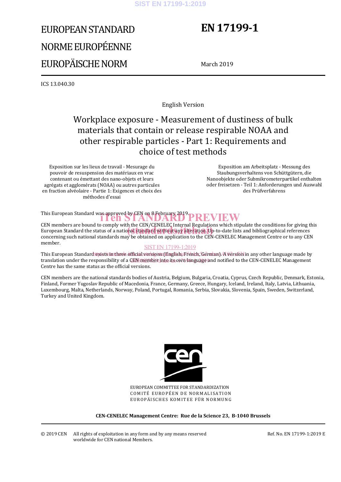#### **SIST EN 17199-1:2019**

# EUROPEAN STANDARD NORME EUROPÉENNE EUROPÄISCHE NORM

# **EN 17199-1**

March 2019

ICS 13.040.30

English Version

# Workplace exposure - Measurement of dustiness of bulk materials that contain or release respirable NOAA and other respirable particles - Part 1: Requirements and choice of test methods

Exposition sur les lieux de travail - Mesurage du pouvoir de resuspension des matériaux en vrac contenant ou émettant des nano-objets et leurs agrégats et agglomérats (NOAA) ou autres particules en fraction alvéolaire - Partie 1: Exigences et choix des méthodes d'essai

 Exposition am Arbeitsplatz - Messung des Staubungsverhaltens von Schüttgütern, die Nanoobjekte oder Submikrometerpartikel enthalten oder freisetzen - Teil 1: Anforderungen und Auswahl des Prüfverfahrens

This European Standard was approved by CEN on 8 February 2019 PREVIEW

CEN members are bound to comply with the CEN/CENELEC Internal Regulations which stipulate the conditions for giving this CEN members are bound to comply with the CEN/CENELEC internal Regulations which supulate the conditions for giving t<br>European Standard the status of a national standard without any alteration. Up-to-date lists and bibliogr concerning such national standards may be obtained on application to the CEN-CENELEC Management Centre or to any CEN member.

#### SIST EN 17199-1:2019

This European Standard exists imthree official versions (English, French, German). A version in any other language made by translation under the responsibility of a CENR member into its own Janguage and notified to the CEN-CENELEC Management Centre has the same status as the official versions.

CEN members are the national standards bodies of Austria, Belgium, Bulgaria, Croatia, Cyprus, Czech Republic, Denmark, Estonia, Finland, Former Yugoslav Republic of Macedonia, France, Germany, Greece, Hungary, Iceland, Ireland, Italy, Latvia, Lithuania, Luxembourg, Malta, Netherlands, Norway, Poland, Portugal, Romania, Serbia, Slovakia, Slovenia, Spain, Sweden, Switzerland, Turkey and United Kingdom.



EUROPEAN COMMITTEE FOR STANDARDIZATION COMITÉ EUROPÉEN DE NORMALISATION EUROPÄISCHES KOMITEE FÜR NORMUNG

**CEN-CENELEC Management Centre: Rue de la Science 23, B-1040 Brussels** 

© 2019 CEN All rights of exploitation in any form and by any means reserved worldwide for CEN national Members.

Ref. No. EN 17199-1:2019 E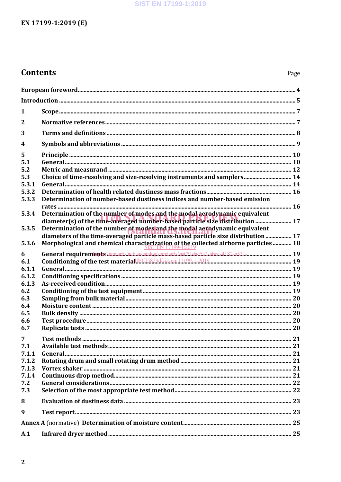### SIST EN 17199-1:2019

# EN 17199-1:2019 (E)

# **Contents**

| 1              |                                                                                                                                                           |  |
|----------------|-----------------------------------------------------------------------------------------------------------------------------------------------------------|--|
| $\mathbf{2}$   |                                                                                                                                                           |  |
| 3              |                                                                                                                                                           |  |
| 4              |                                                                                                                                                           |  |
| 5              |                                                                                                                                                           |  |
| 5.1            |                                                                                                                                                           |  |
| 5.2            |                                                                                                                                                           |  |
| 5.3            | Choice of time-resolving and size-resolving instruments and samplers 14                                                                                   |  |
| 5.3.1          |                                                                                                                                                           |  |
| 5.3.2          |                                                                                                                                                           |  |
| 5.3.3          | Determination of number-based dustiness indices and number-based emission                                                                                 |  |
| 5.3.4          | Determination of the number of modes and the modal aerodynamic equivalent<br>diameter(s) of the time-averaged number-based particle size distribution  17 |  |
| 5.3.5          | Determination of the number of modes and the modal aerodynamic equivalent                                                                                 |  |
|                | diameters of the time-averaged particle mass-based particle size distribution  17                                                                         |  |
| 5.3.6          | Morphological and chemical characterization of the collected airborne particles  18                                                                       |  |
| 6              | General requirements' standards.itch.ai/catalog/standards/sist/51dac5a2-abce-4182-a531- 19                                                                |  |
| 6.1            |                                                                                                                                                           |  |
| 6.1.1          |                                                                                                                                                           |  |
| 6.1.2          |                                                                                                                                                           |  |
| 6.1.3          |                                                                                                                                                           |  |
| 6.2            |                                                                                                                                                           |  |
| 6.3            |                                                                                                                                                           |  |
| 6.4            |                                                                                                                                                           |  |
| 6.5            |                                                                                                                                                           |  |
| 6.6            |                                                                                                                                                           |  |
| 6.7            |                                                                                                                                                           |  |
| $\overline{7}$ |                                                                                                                                                           |  |
| 7.1            |                                                                                                                                                           |  |
| 7.1.1          |                                                                                                                                                           |  |
| 7.1.2          |                                                                                                                                                           |  |
| 7.1.3          |                                                                                                                                                           |  |
| 7.1.4          |                                                                                                                                                           |  |
| 7.2            |                                                                                                                                                           |  |
| 7.3            |                                                                                                                                                           |  |
| 8              |                                                                                                                                                           |  |
| 9              |                                                                                                                                                           |  |
|                |                                                                                                                                                           |  |
| A.1            |                                                                                                                                                           |  |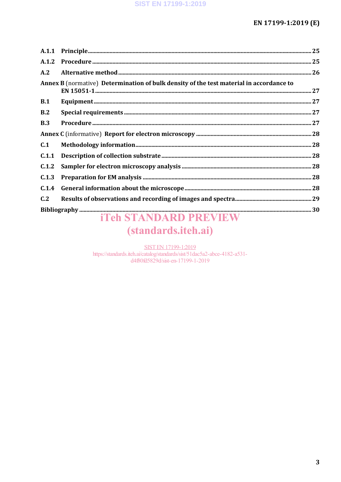| A.1.2 |                                                                                         |  |
|-------|-----------------------------------------------------------------------------------------|--|
| A.2   |                                                                                         |  |
|       | Annex B (normative) Determination of bulk density of the test material in accordance to |  |
| B.1   |                                                                                         |  |
| B.2   |                                                                                         |  |
| B.3   |                                                                                         |  |
|       |                                                                                         |  |
| C.1   |                                                                                         |  |
| C.1.1 |                                                                                         |  |
| C.1.2 |                                                                                         |  |
| C.1.3 |                                                                                         |  |
| C.1.4 |                                                                                         |  |
| C.2   |                                                                                         |  |
|       | <b>iTeh STANDARD PREVIEW</b>                                                            |  |

# (standards.iteh.ai)

SIST EN 17199-1:2019<br>https://standards.iteh.ai/catalog/standards/sist/51dac5a2-abce-4182-a531d4f80fd5829d/sist-en-17199-1-2019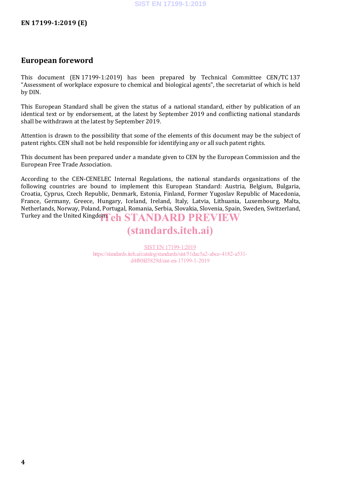# **European foreword**

This document (EN 17199-1:2019) has been prepared by Technical Committee CEN/TC 137 "Assessment of workplace exposure to chemical and biological agents", the secretariat of which is held by DIN.

This European Standard shall be given the status of a national standard, either by publication of an identical text or by endorsement, at the latest by September 2019 and conflicting national standards shall be withdrawn at the latest by September 2019.

Attention is drawn to the possibility that some of the elements of this document may be the subject of patent rights. CEN shall not be held responsible for identifying any or all such patent rights.

This document has been prepared under a mandate given to CEN by the European Commission and the European Free Trade Association.

According to the CEN-CENELEC Internal Regulations, the national standards organizations of the following countries are bound to implement this European Standard: Austria, Belgium, Bulgaria, Croatia, Cyprus, Czech Republic, Denmark, Estonia, Finland, Former Yugoslav Republic of Macedonia, France, Germany, Greece, Hungary, Iceland, Ireland, Italy, Latvia, Lithuania, Luxembourg, Malta, Netherlands, Norway, Poland, Portugal, Romania, Serbia, Slovakia, Slovenia, Spain, Sweden, Switzerland, Turkey and the United Kingdom $\Gamma$ eh STANDARD PREVIEW

# (standards.iteh.ai)

SIST EN 17199-1:2019 https://standards.iteh.ai/catalog/standards/sist/51dac5a2-abce-4182-a531 d4f80fd5829d/sist-en-17199-1-2019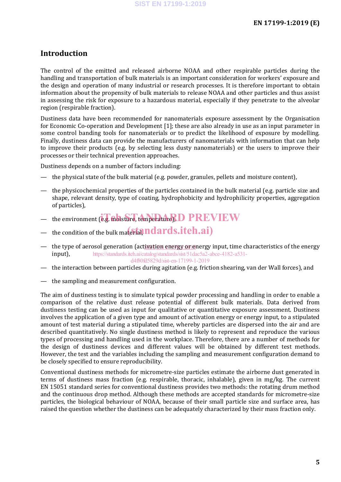# **Introduction**

The control of the emitted and released airborne NOAA and other respirable particles during the handling and transportation of bulk materials is an important consideration for workers' exposure and the design and operation of many industrial or research processes. It is therefore important to obtain information about the propensity of bulk materials to release NOAA and other particles and thus assist in assessing the risk for exposure to a hazardous material, especially if they penetrate to the alveolar region (respirable fraction).

Dustiness data have been recommended for nanomaterials exposure assessment by the Organisation for Economic Co-operation and Development [1]; these are also already in use as an input parameter in some control banding tools for nanomaterials or to predict the likelihood of exposure by modelling. Finally, dustiness data can provide the manufacturers of nanomaterials with information that can help to improve their products (e.g. by selecting less dusty nanomaterials) or the users to improve their processes or their technical prevention approaches.

Dustiness depends on a number of factors including:

- the physical state of the bulk material (e.g. powder, granules, pellets and moisture content),
- the physicochemical properties of the particles contained in the bulk material (e.g. particle size and shape, relevant density, type of coating, hydrophobicity and hydrophilicity properties, aggregation of particles),
- the environment (e.g. moisture, temperature), D PREVIEW
- $-$  the condition of the bulk material, **ndards.itch.ai**)
- the type of aerosol generation (act<u>ivation energy or e</u>nergy input, time characteristics of the energy input), https://standards.iteh.ai/catalog/standards/sist/51dac5a2-abce-4182-a531 d4f80fd5829d/sist-en-17199-1-2019
- the interaction between particles during agitation (e.g. friction shearing, van der Wall forces), and
- the sampling and measurement configuration.

The aim of dustiness testing is to simulate typical powder processing and handling in order to enable a comparison of the relative dust release potential of different bulk materials. Data derived from dustiness testing can be used as input for qualitative or quantitative exposure assessment. Dustiness involves the application of a given type and amount of activation energy or energy input, to a stipulated amount of test material during a stipulated time, whereby particles are dispersed into the air and are described quantitatively. No single dustiness method is likely to represent and reproduce the various types of processing and handling used in the workplace. Therefore, there are a number of methods for the design of dustiness devices and different values will be obtained by different test methods. However, the test and the variables including the sampling and measurement configuration demand to be closely specified to ensure reproducibility.

Conventional dustiness methods for micrometre-size particles estimate the airborne dust generated in terms of dustiness mass fraction (e.g. respirable, thoracic, inhalable), given in mg/kg. The current EN 15051 standard series for conventional dustiness provides two methods: the rotating drum method and the continuous drop method. Although these methods are accepted standards for micrometre-size particles, the biological behaviour of NOAA, because of their small particle size and surface area, has raised the question whether the dustiness can be adequately characterized by their mass fraction only.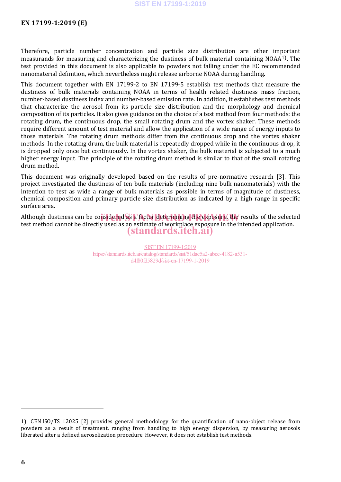#### **EN 17199-1:2019 (E)**

Therefore, particle number concentration and particle size distribution are other important measurands for measuring and characterizing the dustiness of bulk material containing NOAA1). The test provided in this document is also applicable to powders not falling under the EC recommended nanomaterial definition, which nevertheless might release airborne NOAA during handling.

This document together with EN 17199-2 to EN 17199-5 establish test methods that measure the dustiness of bulk materials containing NOAA in terms of health related dustiness mass fraction, number-based dustiness index and number-based emission rate. In addition, it establishes test methods that characterize the aerosol from its particle size distribution and the morphology and chemical composition of its particles. It also gives guidance on the choice of a test method from four methods: the rotating drum, the continuous drop, the small rotating drum and the vortex shaker. These methods require different amount of test material and allow the application of a wide range of energy inputs to those materials. The rotating drum methods differ from the continuous drop and the vortex shaker methods. In the rotating drum, the bulk material is repeatedly dropped while in the continuous drop, it is dropped only once but continuously. In the vortex shaker, the bulk material is subjected to a much higher energy input. The principle of the rotating drum method is similar to that of the small rotating drum method.

This document was originally developed based on the results of pre-normative research [3]. This project investigated the dustiness of ten bulk materials (including nine bulk nanomaterials) with the intention to test as wide a range of bulk materials as possible in terms of magnitude of dustiness, chemical composition and primary particle size distribution as indicated by a high range in specific surface area.

Although dustiness can be considered as a factor determining the exposure, the results of the selected that method cannot be directly used as an estimate of working the exposure in the intended employed in test method cannot be directly used as an estimate of workplace exposure in the intended application. (standards.iteh.ai)

> SIST EN 17199-1:2019 https://standards.iteh.ai/catalog/standards/sist/51dac5a2-abce-4182-a531 d4f80fd5829d/sist-en-17199-1-2019

j

<sup>1)</sup> CEN ISO/TS 12025 [2] provides general methodology for the quantification of nano-object release from powders as a result of treatment, ranging from handling to high energy dispersion, by measuring aerosols liberated after a defined aerosolization procedure. However, it does not establish test methods.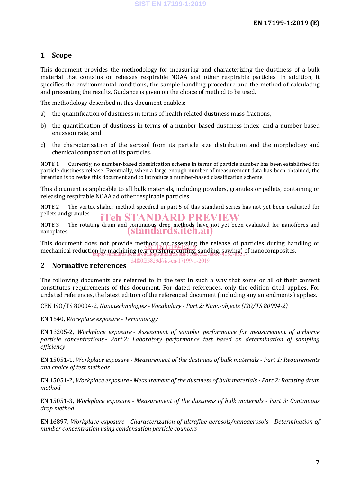## **1 Scope**

This document provides the methodology for measuring and characterizing the dustiness of a bulk material that contains or releases respirable NOAA and other respirable particles. In addition, it specifies the environmental conditions, the sample handling procedure and the method of calculating and presenting the results. Guidance is given on the choice of method to be used.

The methodology described in this document enables:

- a) the quantification of dustiness in terms of health related dustiness mass fractions,
- b) the quantification of dustiness in terms of a number-based dustiness index and a number-based emission rate, and
- c) the characterization of the aerosol from its particle size distribution and the morphology and chemical composition of its particles.

NOTE 1 Currently, no number-based classification scheme in terms of particle number has been established for particle dustiness release. Eventually, when a large enough number of measurement data has been obtained, the intention is to revise this document and to introduce a number-based classification scheme.

This document is applicable to all bulk materials, including powders, granules or pellets, containing or releasing respirable NOAA ad other respirable particles.

NOTE 2 The vortex shaker method specified in part 5 of this standard series has not yet been evaluated for pellets and granules. iTeh STANDARD PREVIEW

NOTE 3 The rotating drum and continuous drop methods have not yet been evaluated for nanofibres and nanoplates. (standards.iteh.ai)

This document does not provide methods for assessing the release of particles during handling or mechanical reduction by machining (e.g. crushing, cutting, sanding, sawing) of nanocomposites. SIST EN 17199-1:2019 https://standards.iteh.ai/catalog/standards/sist/51dac5a2-abce-4182-a531-

d4f80fd5829d/sist-en-17199-1-2019

# **2 Normative references**

The following documents are referred to in the text in such a way that some or all of their content constitutes requirements of this document. For dated references, only the edition cited applies. For undated references, the latest edition of the referenced document (including any amendments) applies.

CEN ISO/TS 80004-2, *Nanotechnologies - Vocabulary - Part 2: Nano-objects (ISO/TS 80004-2)*

EN 1540, *Workplace exposure - Terminology*

EN 13205-2, *Workplace exposure - Assessment of sampler performance for measurement of airborne particle concentrations - Part 2: Laboratory performance test based on determination of sampling efficiency*

EN 15051-1, *Workplace exposure - Measurement of the dustiness of bulk materials - Part 1: Requirements and choice of test methods*

EN 15051-2, *Workplace exposure - Measurement of the dustiness of bulk materials - Part 2: Rotating drum method*

EN 15051-3, *Workplace exposure - Measurement of the dustiness of bulk materials - Part 3: Continuous drop method*

EN 16897, *Workplace exposure - Characterization of ultrafine aerosols/nanoaerosols - Determination of number concentration using condensation particle counters*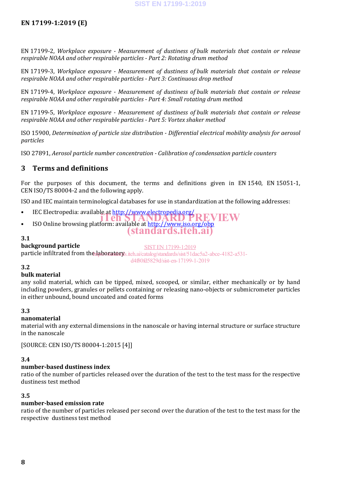## **EN 17199-1:2019 (E)**

EN 17199-2, *Workplace exposure - Measurement of dustiness of bulk materials that contain or release respirable NOAA and other respirable particles - Part 2: Rotating drum method*

EN 17199-3, *Workplace exposure - Measurement of dustiness of bulk materials that contain or release respirable NOAA and other respirable particles - Part 3: Continuous drop method*

EN 17199-4, *Workplace exposure - Measurement of dustiness of bulk materials that contain or release respirable NOAA and other respirable particles - Part 4: Small rotating drum metho*d

EN 17199-5, *Workplace exposure - Measurement of dustiness of bulk materials that contain or release respirable NOAA and other respirable particles - Part 5: Vortex shaker method*

ISO 15900, *Determination of particle size distribution - Differential electrical mobility analysis for aerosol particles*

ISO 27891, *Aerosol particle number concentration - Calibration of condensation particle counters*

## **3 Terms and definitions**

For the purposes of this document, the terms and definitions given in EN 1540, EN 15051-1, CEN ISO/TS 80004-2 and the following apply.

ISO and IEC maintain terminological databases for use in standardization at the following addresses:

- IEC Electropedia: available at http://www.electropedia.org/
- ISO Online browsing platform: available at <u>http://www.iso.org/obp</u> it en STANDARD PREVIEW
	- (standards.iteh.ai)

#### **3.1**

## **background particle**

particle infiltrated from the laboratorys iteh.ai/catalog/standards/sist/51dac5a2-abce-4182-a531-SIST EN 17199-1:2019 d4f80fd5829d/sist-en-17199-1-2019

#### **3.2**

#### **bulk material**

any solid material, which can be tipped, mixed, scooped, or similar, either mechanically or by hand including powders, granules or pellets containing or releasing nano-objects or submicrometer particles in either unbound, bound uncoated and coated forms

#### **3.3**

#### **nanomaterial**

material with any external dimensions in the nanoscale or having internal structure or surface structure in the nanoscale

[SOURCE: CEN ISO/TS 80004-1:2015 [4]]

#### **3.4**

### **number-based dustiness index**

ratio of the number of particles released over the duration of the test to the test mass for the respective dustiness test method

#### **3.5**

#### **number-based emission rate**

ratio of the number of particles released per second over the duration of the test to the test mass for the respective dustiness test method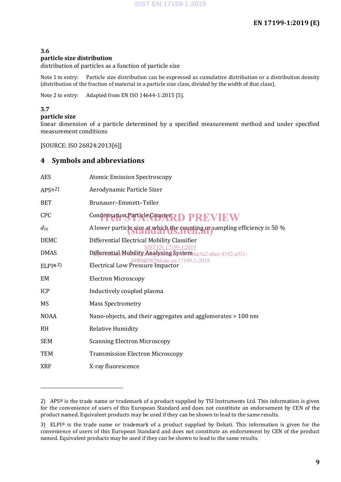#### **3.6 particle size distribution**

distribution of particles as a function of particle size

Note 1 to entry: Particle size distribution can be expressed as cumulative distribution or a distribution density (distribution of the fraction of material in a particle size class, divided by the width of that class).

Note 2 to entry: Adapted from EN ISO 14644-1:2015 [5].

### **3.7**

I

#### **particle size**

linear dimension of a particle determined by a specified measurement method and under specified measurement conditions

[SOURCE: ISO 26824:2013[6]]

### **4 Symbols and abbreviations**

| <b>AES</b>  | <b>Atomic Emission Spectroscopy</b>                                                  |
|-------------|--------------------------------------------------------------------------------------|
| APS@2       | Aerodynamic Particle Sizer                                                           |
| <b>BET</b>  | Brunauer-Emmett-Teller                                                               |
| <b>CPC</b>  | Condensation Particle Counter D PREVIEW                                              |
| $d_{50}$    | A lower particle size at which the counting or sampling efficiency is 50 %           |
| <b>DEMC</b> | Differential Electrical Mobility Classifier                                          |
| <b>DMAS</b> | SIST EN 17199-1:2019<br>Differential Mobility Analysing Systemdac5a2-abce-4182-a531- |
| ELPI@3)     | d4f80fd5829d/sist-en-17199-1-2019<br>Electrical Low Pressure Impactor                |
| EM          | <b>Electron Microscopy</b>                                                           |
| ICP         | Inductively coupled plasma                                                           |
| MS          | <b>Mass Spectrometry</b>                                                             |
| <b>NOAA</b> | Nano-objects, and their aggregates and agglomerates > 100 nm                         |
| <b>RH</b>   | <b>Relative Humidity</b>                                                             |
| <b>SEM</b>  | <b>Scanning Electron Microscopy</b>                                                  |
| <b>TEM</b>  | <b>Transmission Electron Microscopy</b>                                              |
| <b>XRF</b>  | X-ray fluorescence                                                                   |
|             |                                                                                      |

<sup>2)</sup> APS® is the trade name or trademark of a product supplied by TSI Instruments Ltd. This information is given for the convenience of users of this European Standard and does not constitute an endorsement by CEN of the product named. Equivalent products may be used if they can be shown to lead to the same results.

<sup>3)</sup> ELPI® is the trade name or trademark of a product supplied by Dekati. This information is given for the convenience of users of this European Standard and does not constitute an endorsement by CEN of the product named. Equivalent products may be used if they can be shown to lead to the same results.